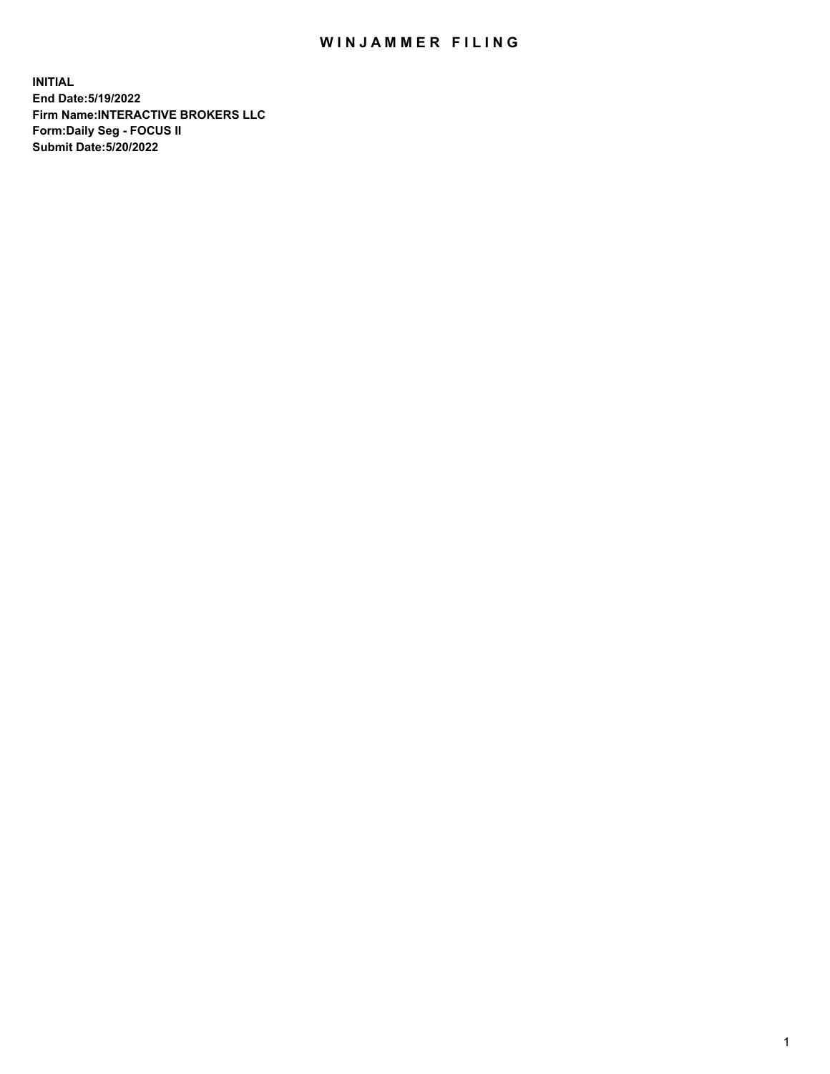## WIN JAMMER FILING

**INITIAL End Date:5/19/2022 Firm Name:INTERACTIVE BROKERS LLC Form:Daily Seg - FOCUS II Submit Date:5/20/2022**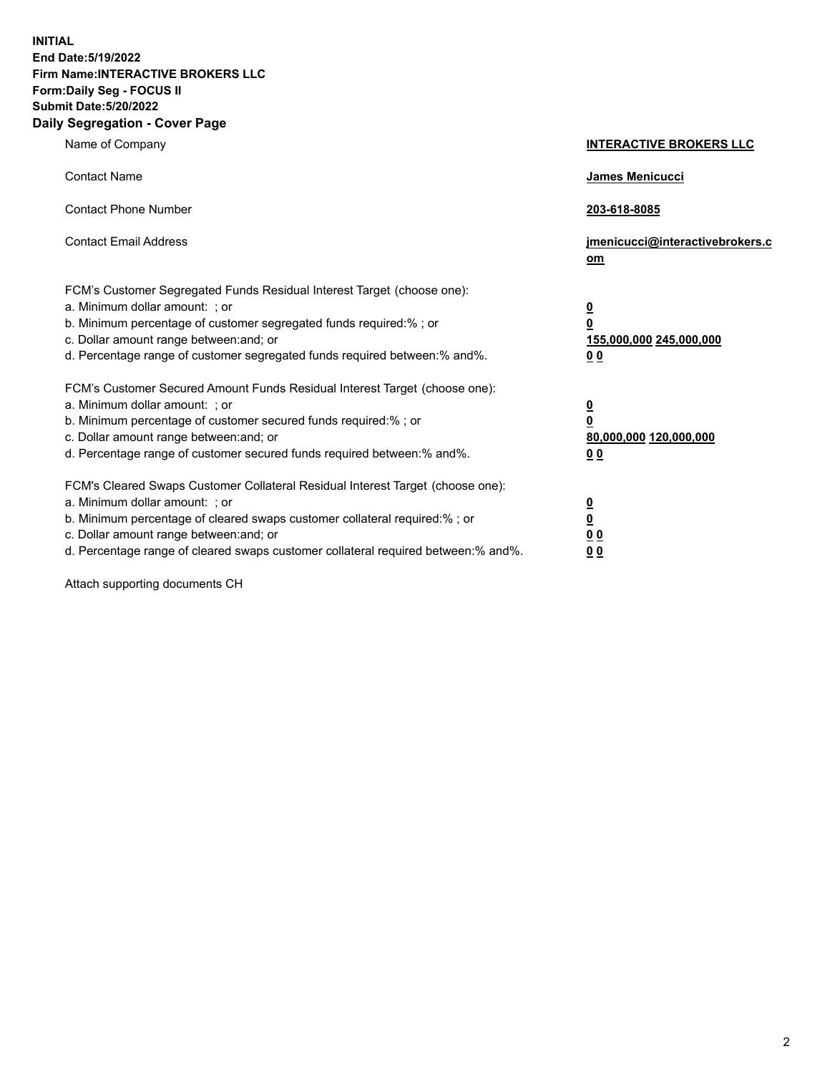**INITIAL End Date:5/19/2022 Firm Name:INTERACTIVE BROKERS LLC Form:Daily Seg - FOCUS II Submit Date:5/20/2022 Daily Segregation - Cover Page**

| Name of Company                                                                                                                                                                                                                                                                                                                | <b>INTERACTIVE BROKERS LLC</b>                                                                 |
|--------------------------------------------------------------------------------------------------------------------------------------------------------------------------------------------------------------------------------------------------------------------------------------------------------------------------------|------------------------------------------------------------------------------------------------|
| <b>Contact Name</b>                                                                                                                                                                                                                                                                                                            | James Menicucci                                                                                |
| <b>Contact Phone Number</b>                                                                                                                                                                                                                                                                                                    | 203-618-8085                                                                                   |
| <b>Contact Email Address</b>                                                                                                                                                                                                                                                                                                   | jmenicucci@interactivebrokers.c<br>om                                                          |
| FCM's Customer Segregated Funds Residual Interest Target (choose one):<br>a. Minimum dollar amount: ; or<br>b. Minimum percentage of customer segregated funds required:% ; or<br>c. Dollar amount range between: and; or<br>d. Percentage range of customer segregated funds required between:% and%.                         | $\overline{\mathbf{0}}$<br>$\overline{\mathbf{0}}$<br>155,000,000 245,000,000<br>00            |
| FCM's Customer Secured Amount Funds Residual Interest Target (choose one):<br>a. Minimum dollar amount: ; or<br>b. Minimum percentage of customer secured funds required:%; or<br>c. Dollar amount range between: and; or<br>d. Percentage range of customer secured funds required between:% and%.                            | $\overline{\mathbf{0}}$<br>$\overline{\mathbf{0}}$<br>80,000,000 120,000,000<br>0 <sub>0</sub> |
| FCM's Cleared Swaps Customer Collateral Residual Interest Target (choose one):<br>a. Minimum dollar amount: ; or<br>b. Minimum percentage of cleared swaps customer collateral required:% ; or<br>c. Dollar amount range between: and; or<br>d. Percentage range of cleared swaps customer collateral required between:% and%. | $\frac{0}{0}$<br>0 <sub>0</sub><br>0 <sub>0</sub>                                              |

Attach supporting documents CH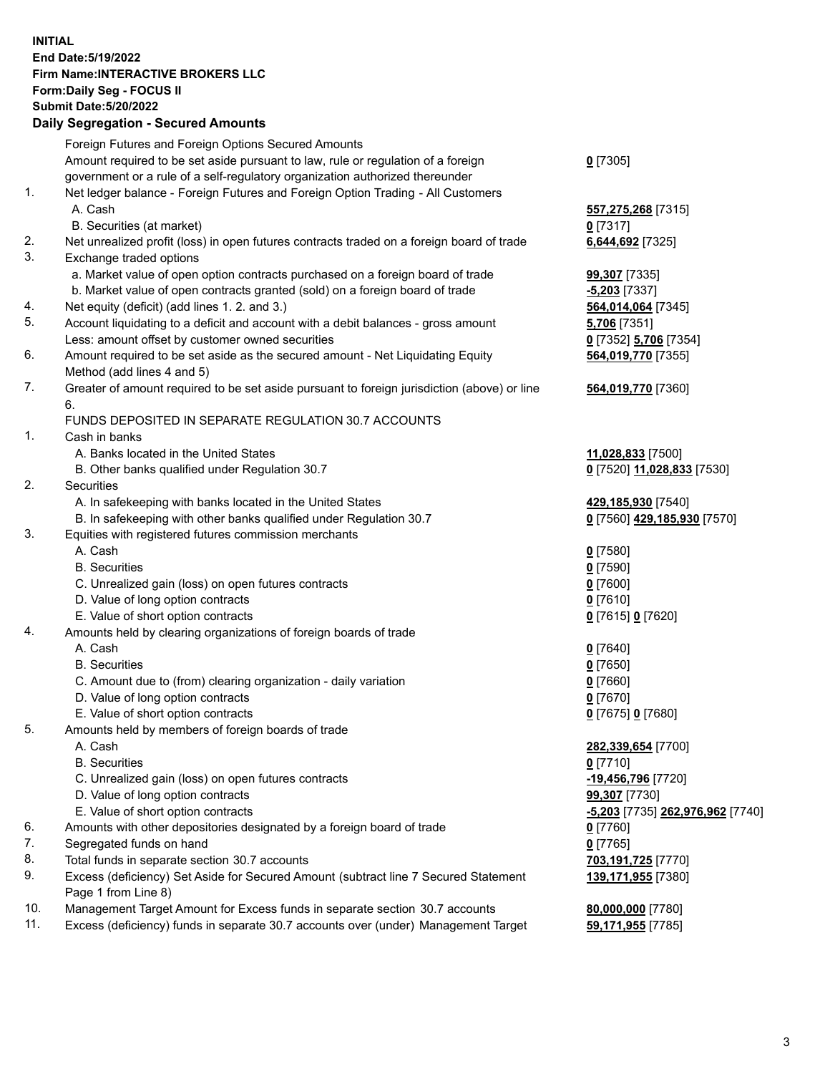**INITIAL End Date:5/19/2022 Firm Name:INTERACTIVE BROKERS LLC Form:Daily Seg - FOCUS II Submit Date:5/20/2022 Daily Segregation - Secured Amounts**

|                | Daily Ocglegation - Occuled Anioants                                                                       |                                               |
|----------------|------------------------------------------------------------------------------------------------------------|-----------------------------------------------|
|                | Foreign Futures and Foreign Options Secured Amounts                                                        |                                               |
|                | Amount required to be set aside pursuant to law, rule or regulation of a foreign                           | $0$ [7305]                                    |
|                | government or a rule of a self-regulatory organization authorized thereunder                               |                                               |
| $\mathbf{1}$ . | Net ledger balance - Foreign Futures and Foreign Option Trading - All Customers                            |                                               |
|                | A. Cash                                                                                                    | 557,275,268 [7315]                            |
|                | B. Securities (at market)                                                                                  | $0$ [7317]                                    |
| 2.             | Net unrealized profit (loss) in open futures contracts traded on a foreign board of trade                  | 6,644,692 [7325]                              |
| 3.             | Exchange traded options                                                                                    |                                               |
|                | a. Market value of open option contracts purchased on a foreign board of trade                             | 99,307 [7335]                                 |
|                | b. Market value of open contracts granted (sold) on a foreign board of trade                               | $-5,203$ [7337]                               |
| 4.             | Net equity (deficit) (add lines 1. 2. and 3.)                                                              | 564,014,064 [7345]                            |
| 5.             | Account liquidating to a deficit and account with a debit balances - gross amount                          | 5,706 [7351]                                  |
|                | Less: amount offset by customer owned securities                                                           | 0 [7352] 5,706 [7354]                         |
| 6.             | Amount required to be set aside as the secured amount - Net Liquidating Equity                             | 564,019,770 [7355]                            |
|                | Method (add lines 4 and 5)                                                                                 |                                               |
| 7.             | Greater of amount required to be set aside pursuant to foreign jurisdiction (above) or line                | 564,019,770 [7360]                            |
|                | 6.                                                                                                         |                                               |
|                | FUNDS DEPOSITED IN SEPARATE REGULATION 30.7 ACCOUNTS                                                       |                                               |
| $\mathbf{1}$ . | Cash in banks                                                                                              |                                               |
|                | A. Banks located in the United States                                                                      | 11,028,833 [7500]                             |
|                | B. Other banks qualified under Regulation 30.7                                                             | 0 [7520] 11,028,833 [7530]                    |
| 2.             | <b>Securities</b>                                                                                          |                                               |
|                | A. In safekeeping with banks located in the United States                                                  | 429,185,930 [7540]                            |
|                | B. In safekeeping with other banks qualified under Regulation 30.7                                         | 0 [7560] 429,185,930 [7570]                   |
| 3.             | Equities with registered futures commission merchants                                                      |                                               |
|                | A. Cash                                                                                                    | $0$ [7580]                                    |
|                | <b>B.</b> Securities                                                                                       | $0$ [7590]                                    |
|                | C. Unrealized gain (loss) on open futures contracts                                                        | $0$ [7600]                                    |
|                | D. Value of long option contracts                                                                          | $0$ [7610]                                    |
|                | E. Value of short option contracts                                                                         | 0 [7615] 0 [7620]                             |
| 4.             | Amounts held by clearing organizations of foreign boards of trade                                          |                                               |
|                | A. Cash                                                                                                    | $0$ [7640]                                    |
|                | <b>B.</b> Securities                                                                                       | $0$ [7650]                                    |
|                | C. Amount due to (from) clearing organization - daily variation                                            | $0$ [7660]                                    |
|                | D. Value of long option contracts                                                                          | $0$ [7670]                                    |
|                | E. Value of short option contracts                                                                         | 0 [7675] 0 [7680]                             |
| 5.             | Amounts held by members of foreign boards of trade                                                         |                                               |
|                | A. Cash                                                                                                    | 282,339,654 [7700]                            |
|                | <b>B.</b> Securities                                                                                       | $0$ [7710]                                    |
|                | C. Unrealized gain (loss) on open futures contracts                                                        | -19,456,796 [7720]                            |
|                | D. Value of long option contracts                                                                          | 99,307 [7730]                                 |
|                | E. Value of short option contracts                                                                         | <mark>-5,203</mark> [7735] 262,976,962 [7740] |
| 6.             | Amounts with other depositories designated by a foreign board of trade                                     | 0 [7760]                                      |
| 7.<br>8.       | Segregated funds on hand                                                                                   | $0$ [7765]                                    |
|                | Total funds in separate section 30.7 accounts                                                              | 703,191,725 [7770]                            |
| 9.             | Excess (deficiency) Set Aside for Secured Amount (subtract line 7 Secured Statement<br>Page 1 from Line 8) | 139,171,955 [7380]                            |
| 10.            | Management Target Amount for Excess funds in separate section 30.7 accounts                                | 80,000,000 [7780]                             |
| 11.            | Excess (deficiency) funds in separate 30.7 accounts over (under) Management Target                         | 59,171,955 [7785]                             |
|                |                                                                                                            |                                               |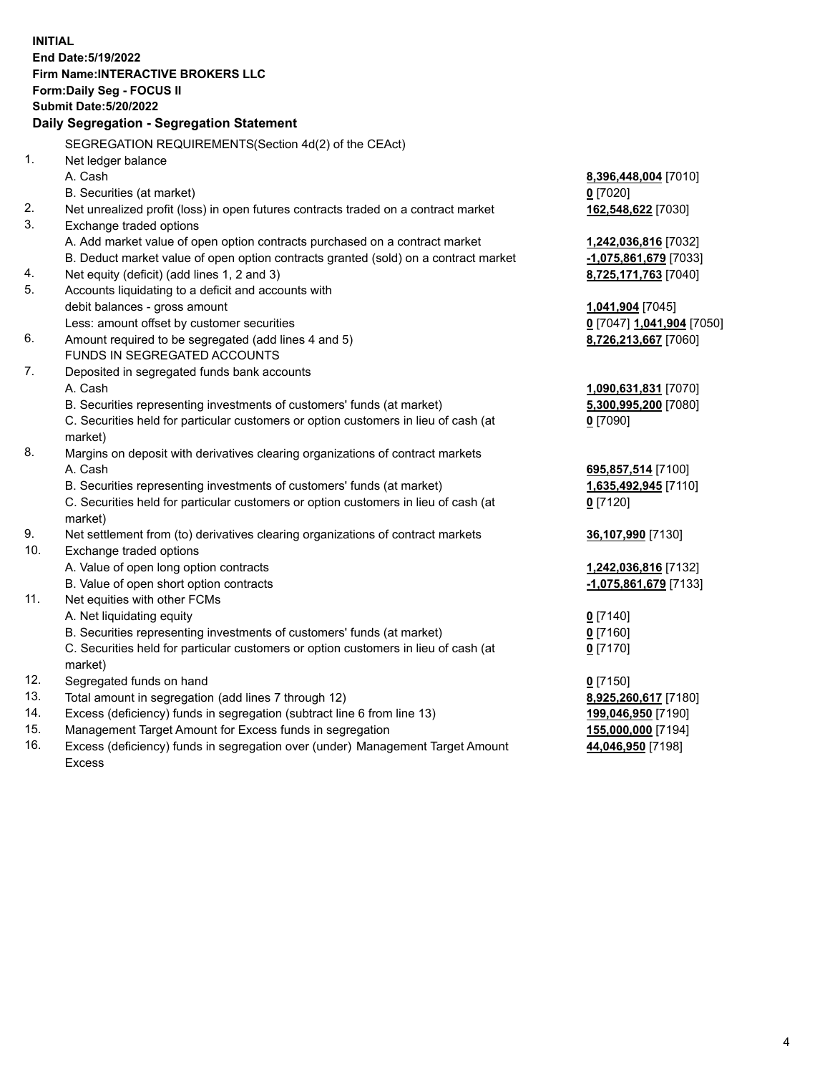**INITIAL End Date:5/19/2022 Firm Name:INTERACTIVE BROKERS LLC Form:Daily Seg - FOCUS II Submit Date:5/20/2022 Daily Segregation - Segregation Statement** SEGREGATION REQUIREMENTS(Section 4d(2) of the CEAct) 1. Net ledger balance A. Cash **8,396,448,004** [7010] B. Securities (at market) **0** [7020] 2. Net unrealized profit (loss) in open futures contracts traded on a contract market **162,548,622** [7030] 3. Exchange traded options A. Add market value of open option contracts purchased on a contract market **1,242,036,816** [7032] B. Deduct market value of open option contracts granted (sold) on a contract market **-1,075,861,679** [7033] 4. Net equity (deficit) (add lines 1, 2 and 3) **8,725,171,763** [7040] 5. Accounts liquidating to a deficit and accounts with debit balances - gross amount **1,041,904** [7045] Less: amount offset by customer securities **0** [7047] **1,041,904** [7050] 6. Amount required to be segregated (add lines 4 and 5) **8,726,213,667** [7060] FUNDS IN SEGREGATED ACCOUNTS 7. Deposited in segregated funds bank accounts A. Cash **1,090,631,831** [7070] B. Securities representing investments of customers' funds (at market) **5,300,995,200** [7080] C. Securities held for particular customers or option customers in lieu of cash (at market) **0** [7090] 8. Margins on deposit with derivatives clearing organizations of contract markets A. Cash **695,857,514** [7100] B. Securities representing investments of customers' funds (at market) **1,635,492,945** [7110] C. Securities held for particular customers or option customers in lieu of cash (at market) **0** [7120] 9. Net settlement from (to) derivatives clearing organizations of contract markets **36,107,990** [7130] 10. Exchange traded options A. Value of open long option contracts **1,242,036,816** [7132] B. Value of open short option contracts **-1,075,861,679** [7133] 11. Net equities with other FCMs A. Net liquidating equity **0** [7140] B. Securities representing investments of customers' funds (at market) **0** [7160] C. Securities held for particular customers or option customers in lieu of cash (at market) **0** [7170] 12. Segregated funds on hand **0** [7150] 13. Total amount in segregation (add lines 7 through 12) **8,925,260,617** [7180] 14. Excess (deficiency) funds in segregation (subtract line 6 from line 13) **199,046,950** [7190] 15. Management Target Amount for Excess funds in segregation **155,000,000** [7194]

16. Excess (deficiency) funds in segregation over (under) Management Target Amount Excess

**44,046,950** [7198]